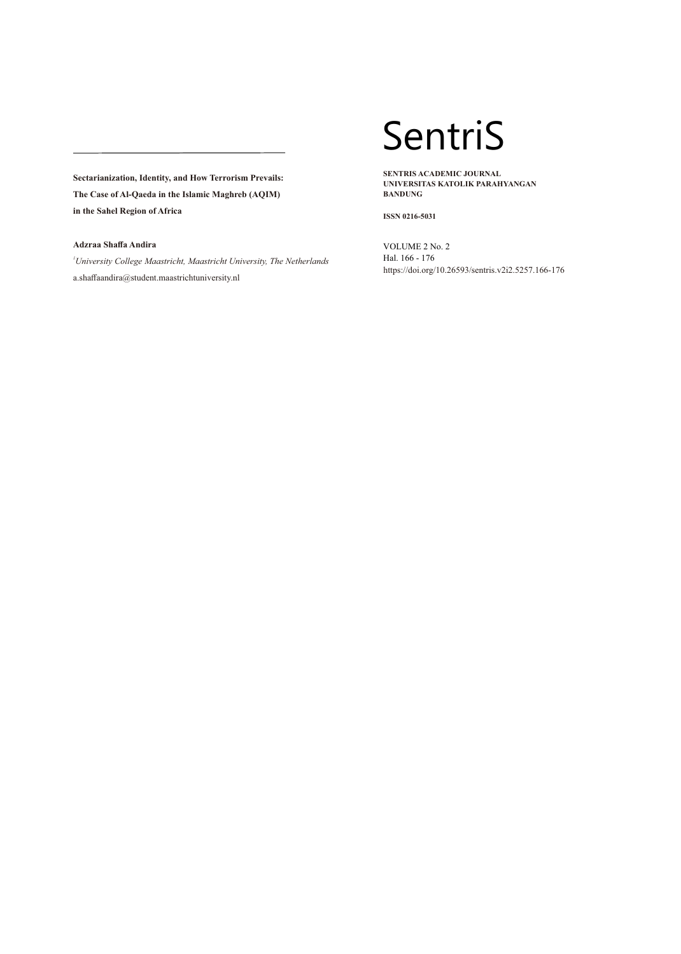# **Adzraa Shaffa Andira**

*<sup>1</sup>University College Maastricht, Maastricht University, The Netherlands* a.shaffaandira@student.maastrichtuniversity.nl

# SentriS

**SENTRIS ACADEMIC JOURNAL UNIVERSITAS KATOLIK PARAHYANGAN BANDUNG**

**ISSN 0216-5031**

VOLUME 2 No. 2 Hal. 166 - 176 https://doi.org/10.26593/sentris.v2i2.5257.166-176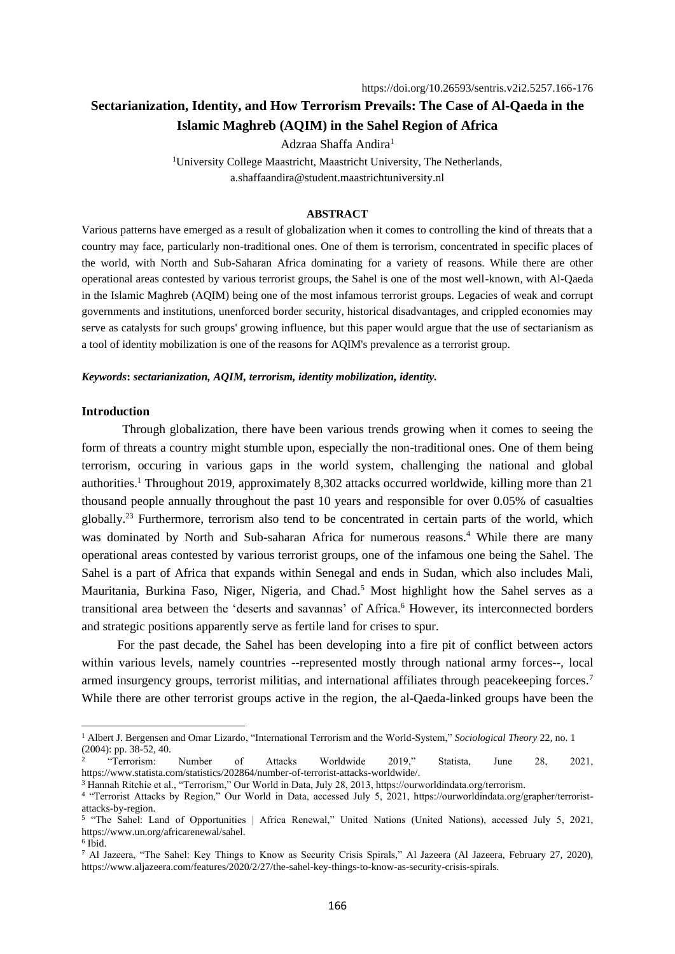Adzraa Shaffa Andira<sup>1</sup>

<sup>1</sup>University College Maastricht, Maastricht University, The Netherlands, a.shaffaandira@student.maastrichtuniversity.nl

#### **ABSTRACT**

Various patterns have emerged as a result of globalization when it comes to controlling the kind of threats that a country may face, particularly non-traditional ones. One of them is terrorism, concentrated in specific places of the world, with North and Sub-Saharan Africa dominating for a variety of reasons. While there are other operational areas contested by various terrorist groups, the Sahel is one of the most well-known, with Al-Qaeda in the Islamic Maghreb (AQIM) being one of the most infamous terrorist groups. Legacies of weak and corrupt governments and institutions, unenforced border security, historical disadvantages, and crippled economies may serve as catalysts for such groups' growing influence, but this paper would argue that the use of sectarianism as a tool of identity mobilization is one of the reasons for AQIM's prevalence as a terrorist group.

# *Keywords***:** *sectarianization, AQIM, terrorism, identity mobilization, identity.*

#### **Introduction**

Through globalization, there have been various trends growing when it comes to seeing the form of threats a country might stumble upon, especially the non-traditional ones. One of them being terrorism, occuring in various gaps in the world system, challenging the national and global authorities.<sup>1</sup> Throughout 2019, approximately 8,302 attacks occurred worldwide, killing more than 21 thousand people annually throughout the past 10 years and responsible for over 0.05% of casualties globally.<sup>23</sup> Furthermore, terrorism also tend to be concentrated in certain parts of the world, which was dominated by North and Sub-saharan Africa for numerous reasons.<sup>4</sup> While there are many operational areas contested by various terrorist groups, one of the infamous one being the Sahel. The Sahel is a part of Africa that expands within Senegal and ends in Sudan, which also includes Mali, Mauritania, Burkina Faso, Niger, Nigeria, and Chad.<sup>5</sup> Most highlight how the Sahel serves as a transitional area between the 'deserts and savannas' of Africa.<sup>6</sup> However, its interconnected borders and strategic positions apparently serve as fertile land for crises to spur.

For the past decade, the Sahel has been developing into a fire pit of conflict between actors within various levels, namely countries --represented mostly through national army forces--, local armed insurgency groups, terrorist militias, and international affiliates through peacekeeping forces.<sup>7</sup> While there are other terrorist groups active in the region, the al-Qaeda-linked groups have been the

<sup>1</sup> Albert J. Bergensen and Omar Lizardo, "International Terrorism and the World-System," *Sociological Theory* 22, no. 1 (2004): pp. 38-52, 40.

<sup>2</sup> "Terrorism: Number of Attacks Worldwide 2019," Statista, June 28, 2021, https://www.statista.com/statistics/202864/number-of-terrorist-attacks-worldwide/.

<sup>3</sup> Hannah Ritchie et al., "Terrorism," Our World in Data, July 28, 2013, https://ourworldindata.org/terrorism.

<sup>4</sup> "Terrorist Attacks by Region," Our World in Data, accessed July 5, 2021, https://ourworldindata.org/grapher/terroristattacks-by-region.

<sup>&</sup>lt;sup>5</sup> "The Sahel: Land of Opportunities | Africa Renewal," United Nations (United Nations), accessed July 5, 2021, https://www.un.org/africarenewal/sahel.

<sup>6</sup> Ibid.

<sup>7</sup> Al Jazeera, "The Sahel: Key Things to Know as Security Crisis Spirals," Al Jazeera (Al Jazeera, February 27, 2020), https://www.aljazeera.com/features/2020/2/27/the-sahel-key-things-to-know-as-security-crisis-spirals.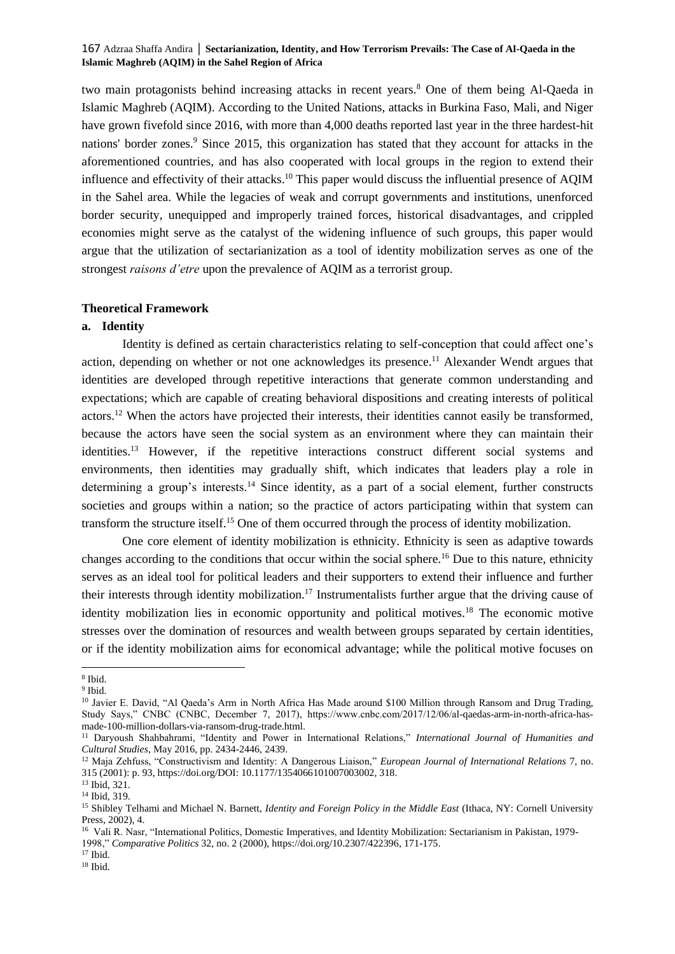two main protagonists behind increasing attacks in recent years.<sup>8</sup> One of them being Al-Qaeda in Islamic Maghreb (AQIM). According to the United Nations, attacks in Burkina Faso, Mali, and Niger have grown fivefold since 2016, with more than 4,000 deaths reported last year in the three hardest-hit nations' border zones.<sup>9</sup> Since 2015, this organization has stated that they account for attacks in the aforementioned countries, and has also cooperated with local groups in the region to extend their influence and effectivity of their attacks.<sup>10</sup> This paper would discuss the influential presence of AQIM in the Sahel area. While the legacies of weak and corrupt governments and institutions, unenforced border security, unequipped and improperly trained forces, historical disadvantages, and crippled economies might serve as the catalyst of the widening influence of such groups, this paper would argue that the utilization of sectarianization as a tool of identity mobilization serves as one of the strongest *raisons d'etre* upon the prevalence of AQIM as a terrorist group.

# **Theoretical Framework**

# **a. Identity**

Identity is defined as certain characteristics relating to self-conception that could affect one's action, depending on whether or not one acknowledges its presence.<sup>11</sup> Alexander Wendt argues that identities are developed through repetitive interactions that generate common understanding and expectations; which are capable of creating behavioral dispositions and creating interests of political actors.<sup>12</sup> When the actors have projected their interests, their identities cannot easily be transformed, because the actors have seen the social system as an environment where they can maintain their identities.<sup>13</sup> However, if the repetitive interactions construct different social systems and environments, then identities may gradually shift, which indicates that leaders play a role in determining a group's interests.<sup>14</sup> Since identity, as a part of a social element, further constructs societies and groups within a nation; so the practice of actors participating within that system can transform the structure itself.<sup>15</sup> One of them occurred through the process of identity mobilization.

One core element of identity mobilization is ethnicity. Ethnicity is seen as adaptive towards changes according to the conditions that occur within the social sphere.<sup>16</sup> Due to this nature, ethnicity serves as an ideal tool for political leaders and their supporters to extend their influence and further their interests through identity mobilization.<sup>17</sup> Instrumentalists further argue that the driving cause of identity mobilization lies in economic opportunity and political motives.<sup>18</sup> The economic motive stresses over the domination of resources and wealth between groups separated by certain identities, or if the identity mobilization aims for economical advantage; while the political motive focuses on

<sup>8</sup> Ibid.

<sup>9</sup> Ibid.

<sup>&</sup>lt;sup>10</sup> Javier E. David, "Al Qaeda's Arm in North Africa Has Made around \$100 Million through Ransom and Drug Trading, Study Says," CNBC (CNBC, December 7, 2017), https://www.cnbc.com/2017/12/06/al-qaedas-arm-in-north-africa-hasmade-100-million-dollars-via-ransom-drug-trade.html.

<sup>11</sup> Daryoush Shahbahrami, "Identity and Power in International Relations," *International Journal of Humanities and Cultural Studies*, May 2016, pp. 2434-2446, 2439.

<sup>12</sup> Maja Zehfuss, "Constructivism and Identity: A Dangerous Liaison," *European Journal of International Relations* 7, no. 315 (2001): p. 93, https://doi.org/DOI: 10.1177/1354066101007003002, 318.

<sup>13</sup> Ibid, 321.

<sup>14</sup> Ibid, 319.

<sup>15</sup> Shibley Telhami and Michael N. Barnett, *Identity and Foreign Policy in the Middle East* (Ithaca, NY: Cornell University Press, 2002), 4.

<sup>16</sup> Vali R. Nasr, "International Politics, Domestic Imperatives, and Identity Mobilization: Sectarianism in Pakistan, 1979- 1998," *Comparative Politics* 32, no. 2 (2000)[, https://doi.org/10.2307/422396,](https://doi.org/10.2307/422396) 171-175.

 $17$  Ibid.

 $^{18}$  Ibid.  $\,$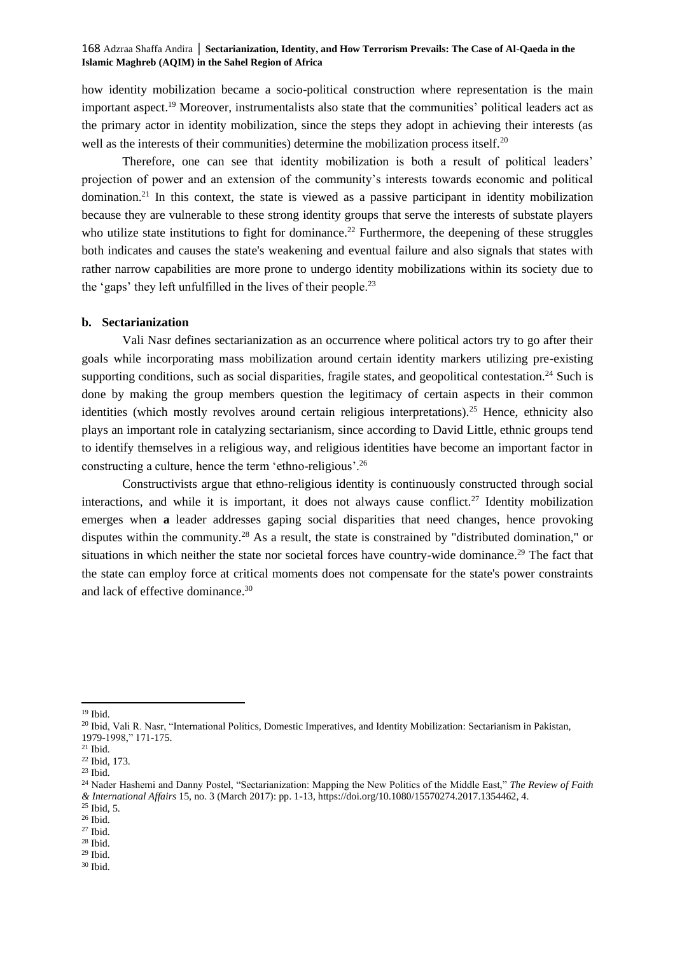how identity mobilization became a socio-political construction where representation is the main important aspect.<sup>19</sup> Moreover, instrumentalists also state that the communities' political leaders act as the primary actor in identity mobilization, since the steps they adopt in achieving their interests (as well as the interests of their communities) determine the mobilization process itself.<sup>20</sup>

Therefore, one can see that identity mobilization is both a result of political leaders' projection of power and an extension of the community's interests towards economic and political domination.<sup>21</sup> In this context, the state is viewed as a passive participant in identity mobilization because they are vulnerable to these strong identity groups that serve the interests of substate players who utilize state institutions to fight for dominance.<sup>22</sup> Furthermore, the deepening of these struggles both indicates and causes the state's weakening and eventual failure and also signals that states with rather narrow capabilities are more prone to undergo identity mobilizations within its society due to the 'gaps' they left unfulfilled in the lives of their people.<sup>23</sup>

# **b. Sectarianization**

Vali Nasr defines sectarianization as an occurrence where political actors try to go after their goals while incorporating mass mobilization around certain identity markers utilizing pre-existing supporting conditions, such as social disparities, fragile states, and geopolitical contestation.<sup>24</sup> Such is done by making the group members question the legitimacy of certain aspects in their common identities (which mostly revolves around certain religious interpretations).<sup>25</sup> Hence, ethnicity also plays an important role in catalyzing sectarianism, since according to David Little, ethnic groups tend to identify themselves in a religious way, and religious identities have become an important factor in constructing a culture, hence the term 'ethno-religious'.<sup>26</sup>

Constructivists argue that ethno-religious identity is continuously constructed through social interactions, and while it is important, it does not always cause conflict.<sup>27</sup> Identity mobilization emerges when **a** leader addresses gaping social disparities that need changes, hence provoking disputes within the community.<sup>28</sup> As a result, the state is constrained by "distributed domination," or situations in which neither the state nor societal forces have country-wide dominance.<sup>29</sup> The fact that the state can employ force at critical moments does not compensate for the state's power constraints and lack of effective dominance.<sup>30</sup>

 $25$  Ibid, 5.

<sup>28</sup> Ibid.

<sup>19</sup> Ibid.

<sup>20</sup> Ibid, Vali R. Nasr, "International Politics, Domestic Imperatives, and Identity Mobilization: Sectarianism in Pakistan, 1979-1998," 171-175.

<sup>21</sup> Ibid.

<sup>22</sup> Ibid, 173.

<sup>23</sup> Ibid.

<sup>24</sup> Nader Hashemi and Danny Postel, "Sectarianization: Mapping the New Politics of the Middle East," *The Review of Faith & International Affairs* 15, no. 3 (March 2017): pp. 1-13, https://doi.org/10.1080/15570274.2017.1354462, 4.

 $^{26}$  Ibid.  $\,$ 

<sup>27</sup> Ibid.

 $^{29}$  Ibid.

 $^{\rm 30}$  Ibid.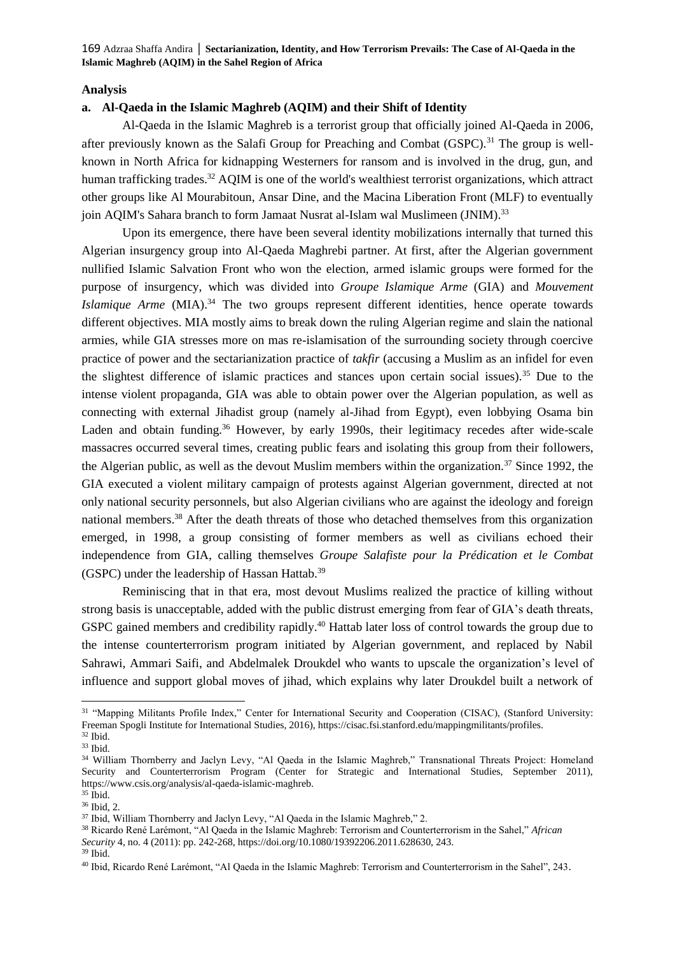# **Analysis**

# **a. Al-Qaeda in the Islamic Maghreb (AQIM) and their Shift of Identity**

Al-Qaeda in the Islamic Maghreb is a terrorist group that officially joined Al-Qaeda in 2006, after previously known as the Salafi Group for Preaching and Combat (GSPC).<sup>31</sup> The group is wellknown in North Africa for kidnapping Westerners for ransom and is involved in the drug, gun, and human trafficking trades.<sup>32</sup> AQIM is one of the world's wealthiest terrorist organizations, which attract other groups like Al Mourabitoun, Ansar Dine, and the Macina Liberation Front (MLF) to eventually join AQIM's Sahara branch to form Jamaat Nusrat al-Islam wal Muslimeen (JNIM).<sup>33</sup>

Upon its emergence, there have been several identity mobilizations internally that turned this Algerian insurgency group into Al-Qaeda Maghrebi partner. At first, after the Algerian government nullified Islamic Salvation Front who won the election, armed islamic groups were formed for the purpose of insurgency, which was divided into *Groupe Islamique Arme* (GIA) and *Mouvement Islamique Arme* (MIA).<sup>34</sup> The two groups represent different identities, hence operate towards different objectives. MIA mostly aims to break down the ruling Algerian regime and slain the national armies, while GIA stresses more on mas re-islamisation of the surrounding society through coercive practice of power and the sectarianization practice of *takfir* (accusing a Muslim as an infidel for even the slightest difference of islamic practices and stances upon certain social issues).<sup>35</sup> Due to the intense violent propaganda, GIA was able to obtain power over the Algerian population, as well as connecting with external Jihadist group (namely al-Jihad from Egypt), even lobbying Osama bin Laden and obtain funding.<sup>36</sup> However, by early 1990s, their legitimacy recedes after wide-scale massacres occurred several times, creating public fears and isolating this group from their followers, the Algerian public, as well as the devout Muslim members within the organization.<sup>37</sup> Since 1992, the GIA executed a violent military campaign of protests against Algerian government, directed at not only national security personnels, but also Algerian civilians who are against the ideology and foreign national members.<sup>38</sup> After the death threats of those who detached themselves from this organization emerged, in 1998, a group consisting of former members as well as civilians echoed their independence from GIA, calling themselves *Groupe Salafiste pour la Prédication et le Combat*  (GSPC) under the leadership of Hassan Hattab.<sup>39</sup>

Reminiscing that in that era, most devout Muslims realized the practice of killing without strong basis is unacceptable, added with the public distrust emerging from fear of GIA's death threats, GSPC gained members and credibility rapidly.<sup>40</sup> Hattab later loss of control towards the group due to the intense counterterrorism program initiated by Algerian government, and replaced by Nabil Sahrawi, Ammari Saifi, and Abdelmalek Droukdel who wants to upscale the organization's level of influence and support global moves of jihad, which explains why later Droukdel built a network of

<sup>31</sup> "Mapping Militants Profile Index," Center for International Security and Cooperation (CISAC), (Stanford University: Freeman Spogli Institute for International Studies, 2016), https://cisac.fsi.stanford.edu/mappingmilitants/profiles. <sup>32</sup> Ibid.

<sup>33</sup> Ibid.

<sup>34</sup> William Thornberry and Jaclyn Levy, "Al Qaeda in the Islamic Maghreb," Transnational Threats Project: Homeland Security and Counterterrorism Program (Center for Strategic and International Studies, September 2011), https://www.csis.org/analysis/al-qaeda-islamic-maghreb.

 $35$  Ibid. <sup>36</sup> Ibid, 2.

<sup>&</sup>lt;sup>37</sup> Ibid, William Thornberry and Jaclyn Levy, "Al Qaeda in the Islamic Maghreb," 2.

<sup>38</sup> Ricardo René Larémont, "Al Qaeda in the Islamic Maghreb: Terrorism and Counterterrorism in the Sahel," *African Security* 4, no. 4 (2011): pp. 242-268, https://doi.org/10.1080/19392206.2011.628630, 243.

 $39$  Ihid.

<sup>40</sup> Ibid, Ricardo René Larémont, "Al Qaeda in the Islamic Maghreb: Terrorism and Counterterrorism in the Sahel", 243.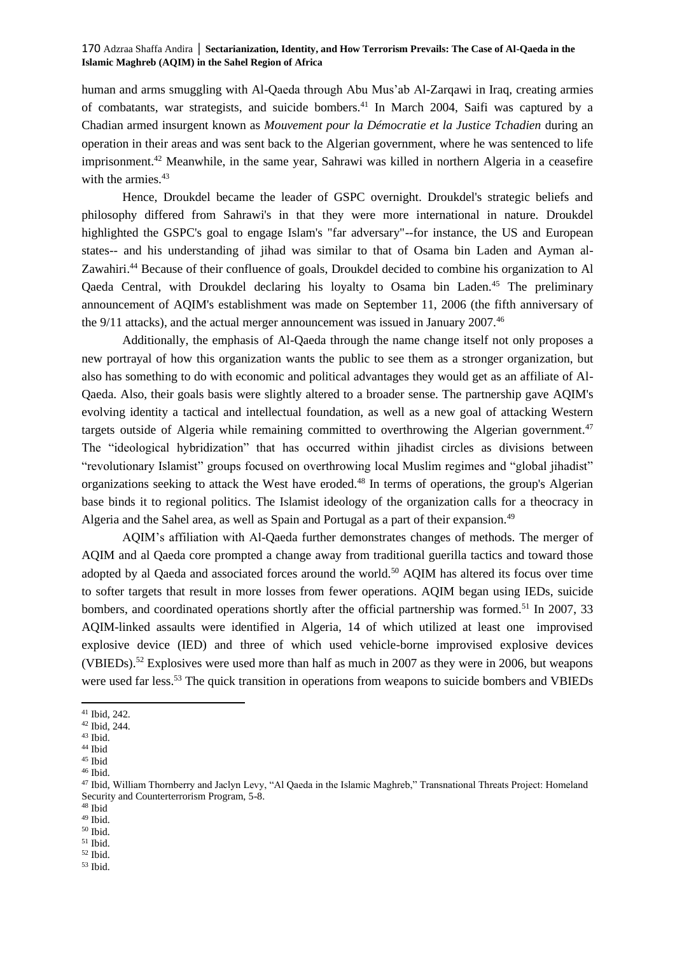human and arms smuggling with Al-Qaeda through Abu Mus'ab Al-Zarqawi in Iraq, creating armies of combatants, war strategists, and suicide bombers.<sup>41</sup> In March 2004, Saifi was captured by a Chadian armed insurgent known as *Mouvement pour la Démocratie et la Justice Tchadien* during an operation in their areas and was sent back to the Algerian government, where he was sentenced to life imprisonment.<sup>42</sup> Meanwhile, in the same year, Sahrawi was killed in northern Algeria in a ceasefire with the armies.<sup>43</sup>

Hence, Droukdel became the leader of GSPC overnight. Droukdel's strategic beliefs and philosophy differed from Sahrawi's in that they were more international in nature. Droukdel highlighted the GSPC's goal to engage Islam's "far adversary"--for instance, the US and European states-- and his understanding of jihad was similar to that of Osama bin Laden and Ayman al-Zawahiri.<sup>44</sup> Because of their confluence of goals, Droukdel decided to combine his organization to Al Qaeda Central, with Droukdel declaring his loyalty to Osama bin Laden.<sup>45</sup> The preliminary announcement of AQIM's establishment was made on September 11, 2006 (the fifth anniversary of the 9/11 attacks), and the actual merger announcement was issued in January 2007.<sup>46</sup>

Additionally, the emphasis of Al-Qaeda through the name change itself not only proposes a new portrayal of how this organization wants the public to see them as a stronger organization, but also has something to do with economic and political advantages they would get as an affiliate of Al-Qaeda. Also, their goals basis were slightly altered to a broader sense. The partnership gave AQIM's evolving identity a tactical and intellectual foundation, as well as a new goal of attacking Western targets outside of Algeria while remaining committed to overthrowing the Algerian government.<sup>47</sup> The "ideological hybridization" that has occurred within jihadist circles as divisions between "revolutionary Islamist" groups focused on overthrowing local Muslim regimes and "global jihadist" organizations seeking to attack the West have eroded.<sup>48</sup> In terms of operations, the group's Algerian base binds it to regional politics. The Islamist ideology of the organization calls for a theocracy in Algeria and the Sahel area, as well as Spain and Portugal as a part of their expansion.<sup>49</sup>

AQIM's affiliation with Al-Qaeda further demonstrates changes of methods. The merger of AQIM and al Qaeda core prompted a change away from traditional guerilla tactics and toward those adopted by al Qaeda and associated forces around the world.<sup>50</sup> AQIM has altered its focus over time to softer targets that result in more losses from fewer operations. AQIM began using IEDs, suicide bombers, and coordinated operations shortly after the official partnership was formed.<sup>51</sup> In 2007, 33 AQIM-linked assaults were identified in Algeria, 14 of which utilized at least one improvised explosive device (IED) and three of which used vehicle-borne improvised explosive devices (VBIEDs).<sup>52</sup> Explosives were used more than half as much in 2007 as they were in 2006, but weapons were used far less.<sup>53</sup> The quick transition in operations from weapons to suicide bombers and VBIEDs

 $^{\rm 52}$  Ibid.

<sup>41</sup> Ibid, 242.

<sup>42</sup> Ibid, 244.

<sup>43</sup> Ibid.

 $^{44}$  Ibid <sup>45</sup> Ibid

<sup>46</sup> Ibid.

<sup>&</sup>lt;sup>47</sup> Ibid, William Thornberry and Jaclyn Levy, "Al Qaeda in the Islamic Maghreb," Transnational Threats Project: Homeland Security and Counterterrorism Program, 5-8.

<sup>48</sup> Ibid

 $^{49}$  Ibid. <sup>50</sup> Ibid.

<sup>51</sup> Ibid.

<sup>53</sup> Ibid.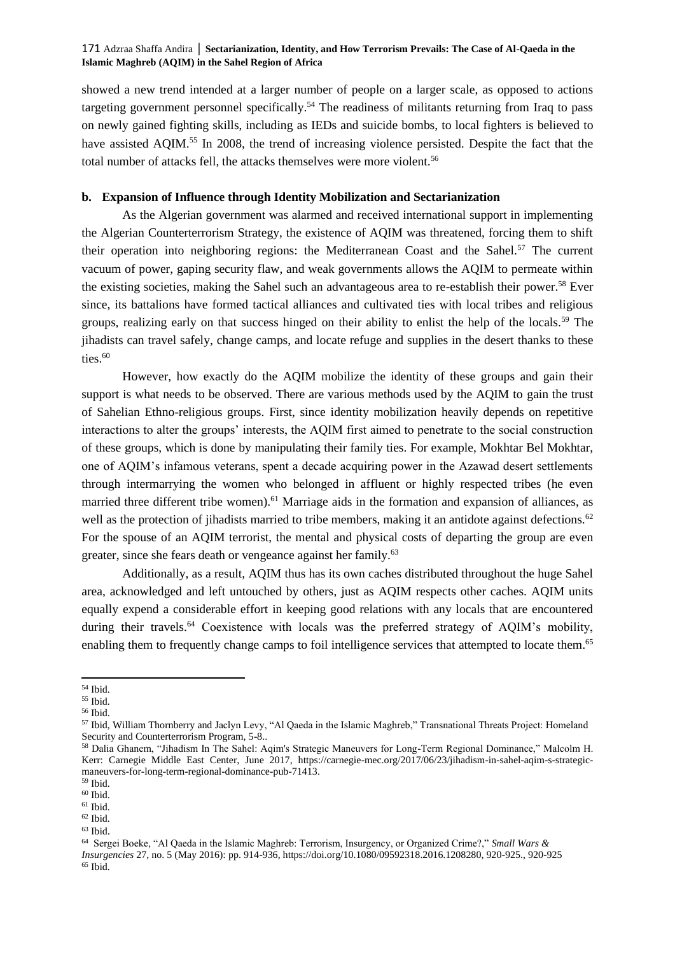showed a new trend intended at a larger number of people on a larger scale, as opposed to actions targeting government personnel specifically.<sup>54</sup> The readiness of militants returning from Iraq to pass on newly gained fighting skills, including as IEDs and suicide bombs, to local fighters is believed to have assisted AQIM.<sup>55</sup> In 2008, the trend of increasing violence persisted. Despite the fact that the total number of attacks fell, the attacks themselves were more violent.<sup>56</sup>

# **b. Expansion of Influence through Identity Mobilization and Sectarianization**

As the Algerian government was alarmed and received international support in implementing the Algerian Counterterrorism Strategy, the existence of AQIM was threatened, forcing them to shift their operation into neighboring regions: the Mediterranean Coast and the Sahel.<sup>57</sup> The current vacuum of power, gaping security flaw, and weak governments allows the AQIM to permeate within the existing societies, making the Sahel such an advantageous area to re-establish their power.<sup>58</sup> Ever since, its battalions have formed tactical alliances and cultivated ties with local tribes and religious groups, realizing early on that success hinged on their ability to enlist the help of the locals.<sup>59</sup> The jihadists can travel safely, change camps, and locate refuge and supplies in the desert thanks to these ties. $60$ 

However, how exactly do the AQIM mobilize the identity of these groups and gain their support is what needs to be observed. There are various methods used by the AQIM to gain the trust of Sahelian Ethno-religious groups. First, since identity mobilization heavily depends on repetitive interactions to alter the groups' interests, the AQIM first aimed to penetrate to the social construction of these groups, which is done by manipulating their family ties. For example, Mokhtar Bel Mokhtar, one of AQIM's infamous veterans, spent a decade acquiring power in the Azawad desert settlements through intermarrying the women who belonged in affluent or highly respected tribes (he even married three different tribe women).<sup>61</sup> Marriage aids in the formation and expansion of alliances, as well as the protection of jihadists married to tribe members, making it an antidote against defections.<sup>62</sup> For the spouse of an AQIM terrorist, the mental and physical costs of departing the group are even greater, since she fears death or vengeance against her family.<sup>63</sup>

Additionally, as a result, AQIM thus has its own caches distributed throughout the huge Sahel area, acknowledged and left untouched by others, just as AQIM respects other caches. AQIM units equally expend a considerable effort in keeping good relations with any locals that are encountered during their travels.<sup>64</sup> Coexistence with locals was the preferred strategy of AQIM's mobility, enabling them to frequently change camps to foil intelligence services that attempted to locate them.<sup>65</sup>

<sup>54</sup> Ibid.

<sup>55</sup> Ibid.

<sup>56</sup> Ibid.

<sup>57</sup> Ibid, William Thornberry and Jaclyn Levy, "Al Qaeda in the Islamic Maghreb," Transnational Threats Project: Homeland Security and Counterterrorism Program, 5-8..

<sup>58</sup> Dalia Ghanem, "Jihadism In The Sahel: Aqim's Strategic Maneuvers for Long-Term Regional Dominance," Malcolm H. Kerr: Carnegie Middle East Center, June 2017, https://carnegie-mec.org/2017/06/23/jihadism-in-sahel-aqim-s-strategicmaneuvers-for-long-term-regional-dominance-pub-71413.

<sup>59</sup> Ibid.

 $^{60}$  Ibid.

 $^{61}$  Ibid.  $^{62}$  Ibid.

<sup>63</sup> Ibid.

<sup>64</sup> Sergei Boeke, "Al Qaeda in the Islamic Maghreb: Terrorism, Insurgency, or Organized Crime?," *Small Wars & Insurgencies* 27, no. 5 (May 2016): pp. 914-936, https://doi.org/10.1080/09592318.2016.1208280, 920-925., 920-925  $^{65}$  Ibid.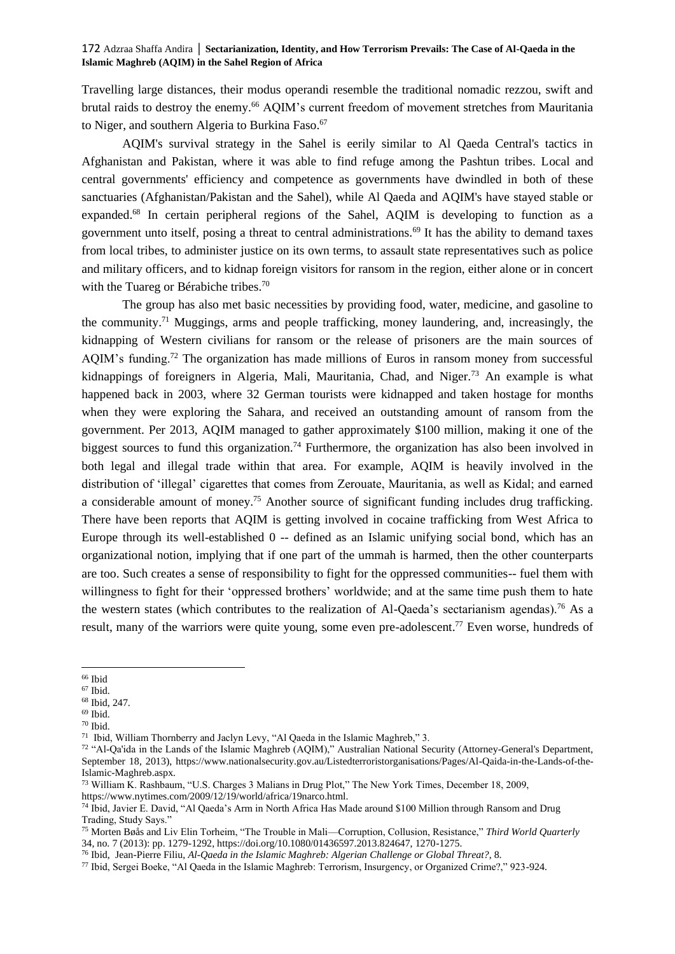Travelling large distances, their modus operandi resemble the traditional nomadic rezzou, swift and brutal raids to destroy the enemy.<sup>66</sup> AQIM's current freedom of movement stretches from Mauritania to Niger, and southern Algeria to Burkina Faso.<sup>67</sup>

AQIM's survival strategy in the Sahel is eerily similar to Al Qaeda Central's tactics in Afghanistan and Pakistan, where it was able to find refuge among the Pashtun tribes. Local and central governments' efficiency and competence as governments have dwindled in both of these sanctuaries (Afghanistan/Pakistan and the Sahel), while Al Qaeda and AQIM's have stayed stable or expanded.<sup>68</sup> In certain peripheral regions of the Sahel, AQIM is developing to function as a government unto itself, posing a threat to central administrations.<sup>69</sup> It has the ability to demand taxes from local tribes, to administer justice on its own terms, to assault state representatives such as police and military officers, and to kidnap foreign visitors for ransom in the region, either alone or in concert with the Tuareg or Bérabiche tribes.<sup>70</sup>

The group has also met basic necessities by providing food, water, medicine, and gasoline to the community.<sup>71</sup> Muggings, arms and people trafficking, money laundering, and, increasingly, the kidnapping of Western civilians for ransom or the release of prisoners are the main sources of AQIM's funding.<sup>72</sup> The organization has made millions of Euros in ransom money from successful kidnappings of foreigners in Algeria, Mali, Mauritania, Chad, and Niger.<sup>73</sup> An example is what happened back in 2003, where 32 German tourists were kidnapped and taken hostage for months when they were exploring the Sahara, and received an outstanding amount of ransom from the government. Per 2013, AQIM managed to gather approximately \$100 million, making it one of the biggest sources to fund this organization.<sup>74</sup> Furthermore, the organization has also been involved in both legal and illegal trade within that area. For example, AQIM is heavily involved in the distribution of 'illegal' cigarettes that comes from Zerouate, Mauritania, as well as Kidal; and earned a considerable amount of money.<sup>75</sup> Another source of significant funding includes drug trafficking. There have been reports that AQIM is getting involved in cocaine trafficking from West Africa to Europe through its well-established 0 -- defined as an Islamic unifying social bond, which has an organizational notion, implying that if one part of the ummah is harmed, then the other counterparts are too. Such creates a sense of responsibility to fight for the oppressed communities-- fuel them with willingness to fight for their 'oppressed brothers' worldwide; and at the same time push them to hate the western states (which contributes to the realization of Al-Qaeda's sectarianism agendas).<sup>76</sup> As a result, many of the warriors were quite young, some even pre-adolescent.<sup>77</sup> Even worse, hundreds of

https://www.nytimes.com/2009/12/19/world/africa/19narco.html.

 $\rm ^{66}$  Ibid

 $67$  Ibid.

<sup>68</sup> Ibid, 247.  $69$  Ibid.

<sup>70</sup> Ibid.

<sup>71</sup> Ibid, William Thornberry and Jaclyn Levy, "Al Qaeda in the Islamic Maghreb," 3.

<sup>&</sup>lt;sup>72</sup> "Al-Qa'ida in the Lands of the Islamic Maghreb (AQIM)," Australian National Security (Attorney-General's Department, September 18, 2013), https://www.nationalsecurity.gov.au/Listedterroristorganisations/Pages/Al-Qaida-in-the-Lands-of-the-Islamic-Maghreb.aspx.

<sup>73</sup> William K. Rashbaum, "U.S. Charges 3 Malians in Drug Plot," The New York Times, December 18, 2009,

<sup>74</sup> Ibid, Javier E. David, "Al Qaeda's Arm in North Africa Has Made around \$100 Million through Ransom and Drug Trading, Study Says."

<sup>75</sup> Morten Bøås and Liv Elin Torheim, "The Trouble in Mali—Corruption, Collusion, Resistance," *Third World Quarterly* 34, no. 7 (2013): pp. 1279-1292, https://doi.org/10.1080/01436597.2013.824647, 1270-1275.

<sup>76</sup> Ibid, Jean-Pierre Filiu, *Al-Qaeda in the Islamic Maghreb: Algerian Challenge or Global Threat?*, 8.

<sup>77</sup> Ibid, Sergei Boeke, "Al Qaeda in the Islamic Maghreb: Terrorism, Insurgency, or Organized Crime?," 923-924.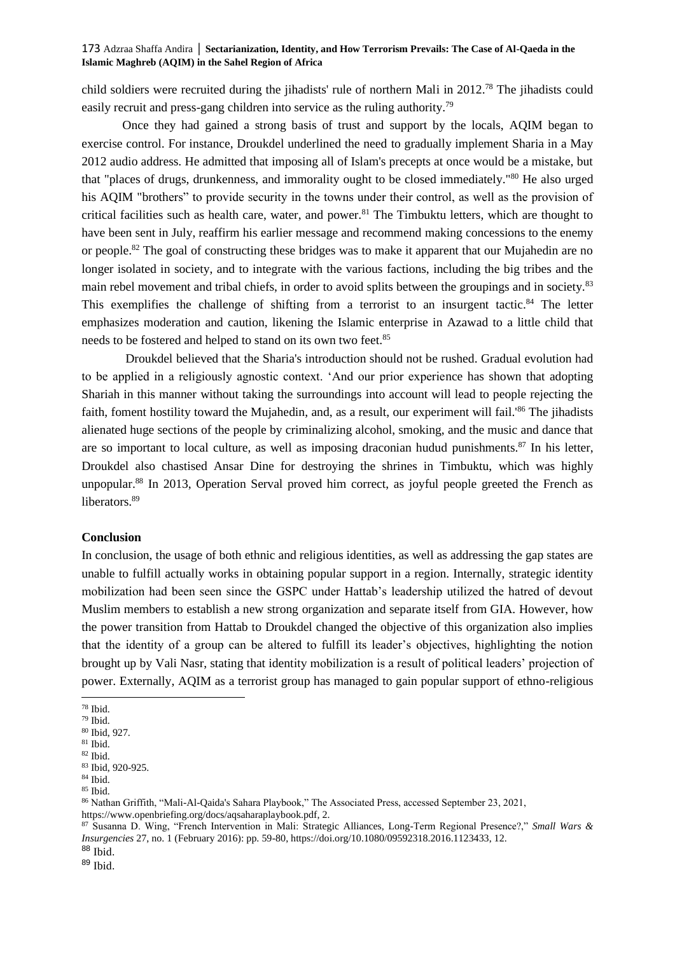child soldiers were recruited during the jihadists' rule of northern Mali in 2012.<sup>78</sup> The jihadists could easily recruit and press-gang children into service as the ruling authority.<sup>79</sup>

Once they had gained a strong basis of trust and support by the locals, AQIM began to exercise control. For instance, Droukdel underlined the need to gradually implement Sharia in a May 2012 audio address. He admitted that imposing all of Islam's precepts at once would be a mistake, but that "places of drugs, drunkenness, and immorality ought to be closed immediately."<sup>80</sup> He also urged his AQIM "brothers" to provide security in the towns under their control, as well as the provision of critical facilities such as health care, water, and power.<sup>81</sup> The Timbuktu letters, which are thought to have been sent in July, reaffirm his earlier message and recommend making concessions to the enemy or people.<sup>82</sup> The goal of constructing these bridges was to make it apparent that our Mujahedin are no longer isolated in society, and to integrate with the various factions, including the big tribes and the main rebel movement and tribal chiefs, in order to avoid splits between the groupings and in society.<sup>83</sup> This exemplifies the challenge of shifting from a terrorist to an insurgent tactic.<sup>84</sup> The letter emphasizes moderation and caution, likening the Islamic enterprise in Azawad to a little child that needs to be fostered and helped to stand on its own two feet.<sup>85</sup>

Droukdel believed that the Sharia's introduction should not be rushed. Gradual evolution had to be applied in a religiously agnostic context. 'And our prior experience has shown that adopting Shariah in this manner without taking the surroundings into account will lead to people rejecting the faith, foment hostility toward the Mujahedin, and, as a result, our experiment will fail.<sup>86</sup> The jihadists alienated huge sections of the people by criminalizing alcohol, smoking, and the music and dance that are so important to local culture, as well as imposing draconian hudud punishments.<sup>87</sup> In his letter, Droukdel also chastised Ansar Dine for destroying the shrines in Timbuktu, which was highly unpopular.<sup>88</sup> In 2013, Operation Serval proved him correct, as joyful people greeted the French as liberators.<sup>89</sup>

# **Conclusion**

In conclusion, the usage of both ethnic and religious identities, as well as addressing the gap states are unable to fulfill actually works in obtaining popular support in a region. Internally, strategic identity mobilization had been seen since the GSPC under Hattab's leadership utilized the hatred of devout Muslim members to establish a new strong organization and separate itself from GIA. However, how the power transition from Hattab to Droukdel changed the objective of this organization also implies that the identity of a group can be altered to fulfill its leader's objectives, highlighting the notion brought up by Vali Nasr, stating that identity mobilization is a result of political leaders' projection of power. Externally, AQIM as a terrorist group has managed to gain popular support of ethno-religious

<sup>78</sup> Ibid.

 $^{79}$  Ibid.

<sup>80</sup> Ibid, 927.

 $81$  Ibid.

<sup>82</sup> Ibid.

<sup>83</sup> Ibid, 920-925.

<sup>84</sup> Ibid.

<sup>85</sup> Ibid.

<sup>86</sup> Nathan Griffith, "Mali-Al-Qaida's Sahara Playbook," The Associated Press, accessed September 23, 2021, [https://www.openbriefing.org/docs/aqsaharaplaybook.pdf,](https://www.openbriefing.org/docs/aqsaharaplaybook.pdf) 2.

<sup>87</sup> Susanna D. Wing, "French Intervention in Mali: Strategic Alliances, Long-Term Regional Presence?," *Small Wars & Insurgencies* 27, no. 1 (February 2016): pp. 59-80, https://doi.org/10.1080/09592318.2016.1123433, 12. <sup>88</sup> Ibid.

 $89$  Ibid.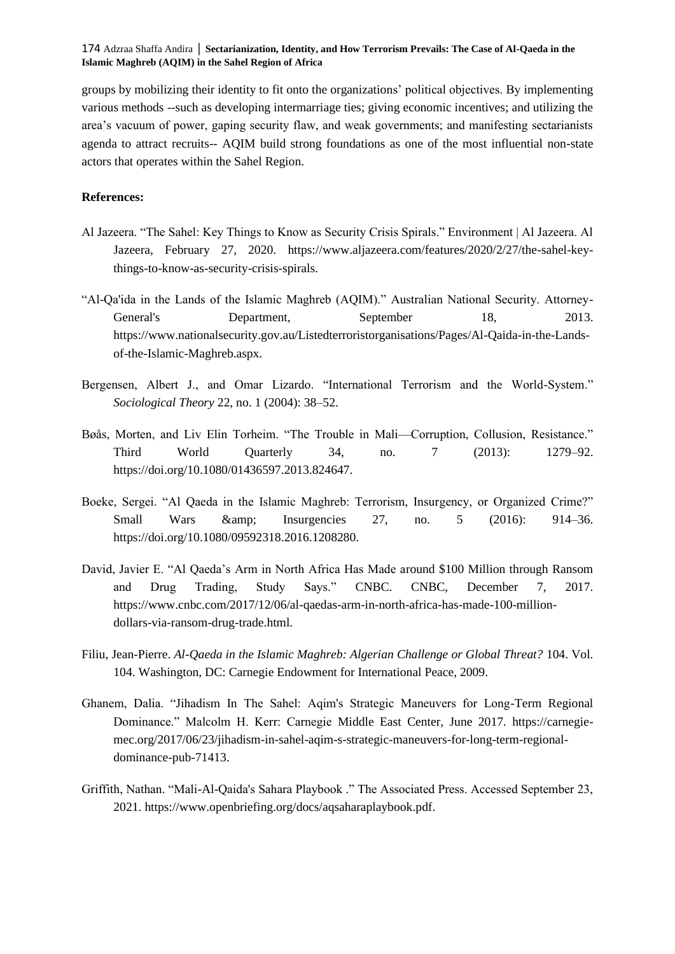groups by mobilizing their identity to fit onto the organizations' political objectives. By implementing various methods --such as developing intermarriage ties; giving economic incentives; and utilizing the area's vacuum of power, gaping security flaw, and weak governments; and manifesting sectarianists agenda to attract recruits-- AQIM build strong foundations as one of the most influential non-state actors that operates within the Sahel Region.

# **References:**

- Al Jazeera. "The Sahel: Key Things to Know as Security Crisis Spirals." Environment | Al Jazeera. Al Jazeera, February 27, 2020. https://www.aljazeera.com/features/2020/2/27/the-sahel-keythings-to-know-as-security-crisis-spirals.
- "Al-Qa'ida in the Lands of the Islamic Maghreb (AQIM)." Australian National Security. Attorney-General's Department, September 18, 2013. https://www.nationalsecurity.gov.au/Listedterroristorganisations/Pages/Al-Qaida-in-the-Landsof-the-Islamic-Maghreb.aspx.
- Bergensen, Albert J., and Omar Lizardo. "International Terrorism and the World-System." *Sociological Theory* 22, no. 1 (2004): 38–52.
- Bøås, Morten, and Liv Elin Torheim. "The Trouble in Mali—Corruption, Collusion, Resistance." Third World Quarterly 34, no. 7 (2013): 1279–92. https://doi.org/10.1080/01436597.2013.824647.
- Boeke, Sergei. "Al Qaeda in the Islamic Maghreb: Terrorism, Insurgency, or Organized Crime?" Small Wars & amp; Insurgencies 27, no. 5 (2016): 914–36. https://doi.org/10.1080/09592318.2016.1208280.
- David, Javier E. "Al Qaeda's Arm in North Africa Has Made around \$100 Million through Ransom and Drug Trading, Study Says." CNBC. CNBC, December 7, 2017. https://www.cnbc.com/2017/12/06/al-qaedas-arm-in-north-africa-has-made-100-milliondollars-via-ransom-drug-trade.html.
- Filiu, Jean-Pierre. *Al-Qaeda in the Islamic Maghreb: Algerian Challenge or Global Threat?* 104. Vol. 104. Washington, DC: Carnegie Endowment for International Peace, 2009.
- Ghanem, Dalia. "Jihadism In The Sahel: Aqim's Strategic Maneuvers for Long-Term Regional Dominance." Malcolm H. Kerr: Carnegie Middle East Center, June 2017. https://carnegiemec.org/2017/06/23/jihadism-in-sahel-aqim-s-strategic-maneuvers-for-long-term-regionaldominance-pub-71413.
- Griffith, Nathan. "Mali-Al-Qaida's Sahara Playbook ." The Associated Press. Accessed September 23, 2021. https://www.openbriefing.org/docs/aqsaharaplaybook.pdf.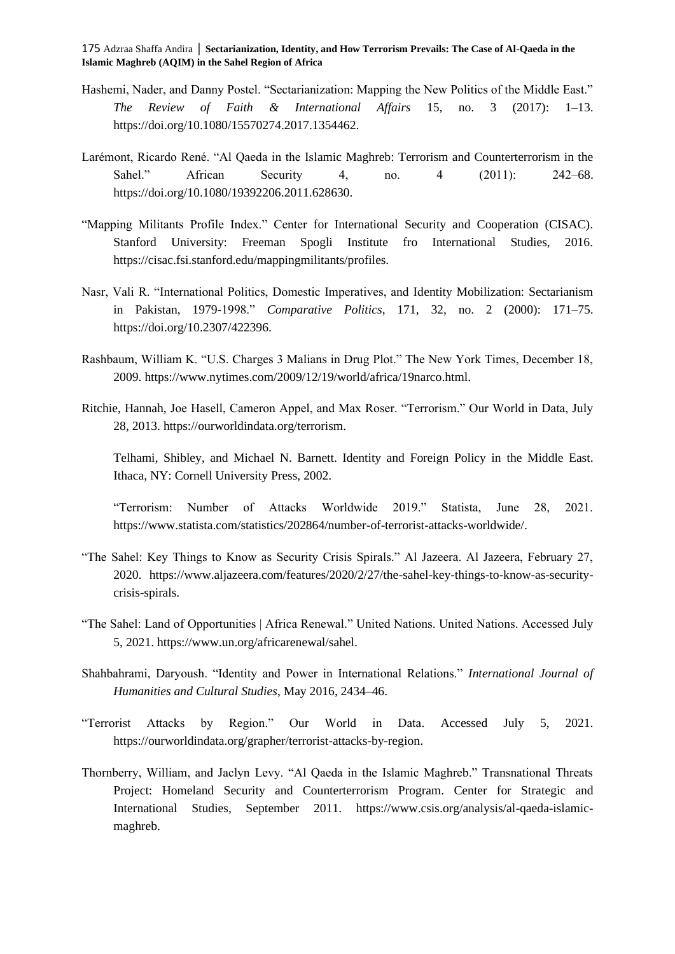- Hashemi, Nader, and Danny Postel. "Sectarianization: Mapping the New Politics of the Middle East." *The Review of Faith & International Affairs* 15, no. 3 (2017): 1–13. https://doi.org/10.1080/15570274.2017.1354462.
- Larémont, Ricardo René. "Al Qaeda in the Islamic Maghreb: Terrorism and Counterterrorism in the Sahel." African Security 4, no. 4 (2011): 242–68. https://doi.org/10.1080/19392206.2011.628630.
- "Mapping Militants Profile Index." Center for International Security and Cooperation (CISAC). Stanford University: Freeman Spogli Institute fro International Studies, 2016. https://cisac.fsi.stanford.edu/mappingmilitants/profiles.
- Nasr, Vali R. "International Politics, Domestic Imperatives, and Identity Mobilization: Sectarianism in Pakistan, 1979-1998." *Comparative Politics*, 171, 32, no. 2 (2000): 171–75. https://doi.org/10.2307/422396.
- Rashbaum, William K. "U.S. Charges 3 Malians in Drug Plot." The New York Times, December 18, 2009. https://www.nytimes.com/2009/12/19/world/africa/19narco.html.
- Ritchie, Hannah, Joe Hasell, Cameron Appel, and Max Roser. "Terrorism." Our World in Data, July 28, 2013. [https://ourworldindata.org/terrorism.](https://ourworldindata.org/terrorism)

Telhami, Shibley, and Michael N. Barnett. Identity and Foreign Policy in the Middle East. Ithaca, NY: Cornell University Press, 2002.

"Terrorism: Number of Attacks Worldwide 2019." Statista, June 28, 2021. https://www.statista.com/statistics/202864/number-of-terrorist-attacks-worldwide/.

- "The Sahel: Key Things to Know as Security Crisis Spirals." Al Jazeera. Al Jazeera, February 27, 2020. https://www.aljazeera.com/features/2020/2/27/the-sahel-key-things-to-know-as-securitycrisis-spirals.
- "The Sahel: Land of Opportunities | Africa Renewal." United Nations. United Nations. Accessed July 5, 2021. https://www.un.org/africarenewal/sahel.
- Shahbahrami, Daryoush. "Identity and Power in International Relations." *International Journal of Humanities and Cultural Studies*, May 2016, 2434–46.
- "Terrorist Attacks by Region." Our World in Data. Accessed July 5, 2021. https://ourworldindata.org/grapher/terrorist-attacks-by-region.
- Thornberry, William, and Jaclyn Levy. "Al Qaeda in the Islamic Maghreb." Transnational Threats Project: Homeland Security and Counterterrorism Program. Center for Strategic and International Studies, September 2011. https://www.csis.org/analysis/al-qaeda-islamicmaghreb.